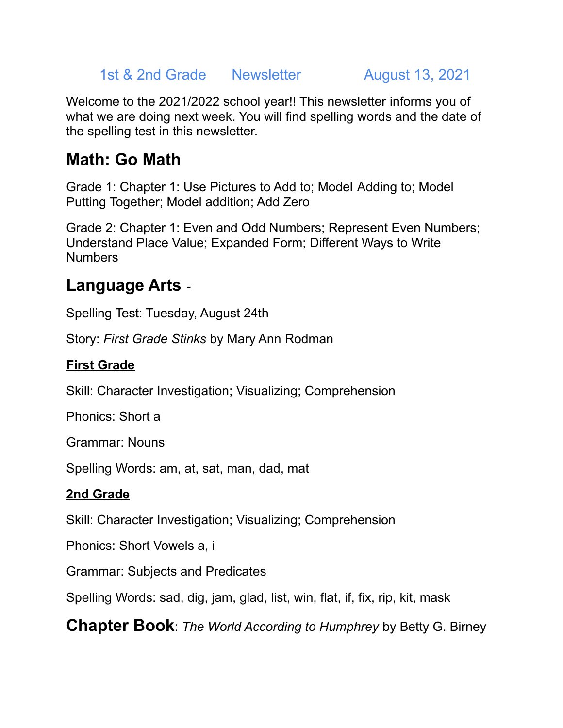#### 1st & 2nd Grade Newsletter August 13, 2021

Welcome to the 2021/2022 school year!! This newsletter informs you of what we are doing next week. You will find spelling words and the date of the spelling test in this newsletter.

# **Math: Go Math**

Grade 1: Chapter 1: Use Pictures to Add to; Model Adding to; Model Putting Together; Model addition; Add Zero

Grade 2: Chapter 1: Even and Odd Numbers; Represent Even Numbers; Understand Place Value; Expanded Form; Different Ways to Write **Numbers** 

# **Language Arts** -

Spelling Test: Tuesday, August 24th

Story: *First Grade Stinks* by Mary Ann Rodman

### **First Grade**

Skill: Character Investigation; Visualizing; Comprehension

Phonics: Short a

Grammar: Nouns

Spelling Words: am, at, sat, man, dad, mat

### **2nd Grade**

Skill: Character Investigation; Visualizing; Comprehension

Phonics: Short Vowels a, i

Grammar: Subjects and Predicates

Spelling Words: sad, dig, jam, glad, list, win, flat, if, fix, rip, kit, mask

**Chapter Book**: *The World According to Humphrey* by Betty G. Birney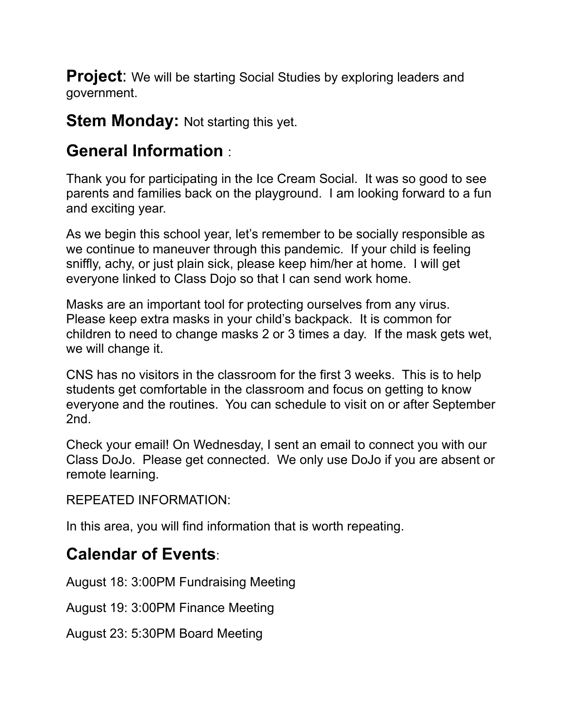**Project:** We will be starting Social Studies by exploring leaders and government.

**Stem Monday:** Not starting this yet.

## **General Information** :

Thank you for participating in the Ice Cream Social. It was so good to see parents and families back on the playground. I am looking forward to a fun and exciting year.

As we begin this school year, let's remember to be socially responsible as we continue to maneuver through this pandemic. If your child is feeling sniffly, achy, or just plain sick, please keep him/her at home. I will get everyone linked to Class Dojo so that I can send work home.

Masks are an important tool for protecting ourselves from any virus. Please keep extra masks in your child's backpack. It is common for children to need to change masks 2 or 3 times a day. If the mask gets wet, we will change it.

CNS has no visitors in the classroom for the first 3 weeks. This is to help students get comfortable in the classroom and focus on getting to know everyone and the routines. You can schedule to visit on or after September 2nd.

Check your email! On Wednesday, I sent an email to connect you with our Class DoJo. Please get connected. We only use DoJo if you are absent or remote learning.

REPEATED INFORMATION:

In this area, you will find information that is worth repeating.

### **Calendar of Events**:

August 18: 3:00PM Fundraising Meeting

August 19: 3:00PM Finance Meeting

August 23: 5:30PM Board Meeting